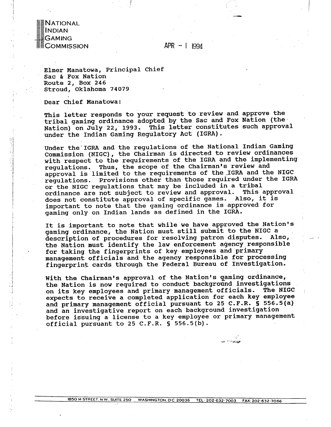

 $APR - 1$  1994

Elmer Manatowa, Principal Chief Sac & Fox Nation Route 2, Box 246 Stroud, Oklahoma 74079

Dear Chief Manatowa:

This letter responds to your request to review and approve the tribal gaming ordinance adopted by the Sac and Fox Nation (the Nation) on July 22, 1993. This letter constitutes such approval under the Indian Gaming Regulatory Act (IGRA).

Under the IGRA and the regulations of the National Indian Gaming Commission (NIGC), the Chairman is directed to review ordinances with respect to the requirements of the IGRA and the implementing regulations. Thus, the scope of the Chairman's review and approval is limited to the requirements of the IGRA and the NIGC regulations. Provisions other than those required under the IGRA or the NIGC regulations that may be included in a tribal ordinance are not subject to review and approval. This approval does not constitute approval of specific games. Also, it is important to note that the gaming ordinance is approved for gaming only on Indian lands as defined in the IGRA.

It is important to note that while we have approved the Nation's gaming ordinance, the Nation must still submit to the NIGC a description of procedures for resolving patron disputes. Also, the Nation must identify the law enforcement agency responsible for taking the fingerprints of key employees and primary management officials and the agency responsible for processing fingerprint cards through the Federal Bureau of Investigation.

With the Chairman's approval of the Nation's gaming ordinance, the Nation is now required to conduct background investigations on its key employees and primary management officials. The NIGC expects to receive a completed application for each key employee and primary management official pursuant to 25 C.F.R. § 556.5(a) and an investigative report on each background investigation before issuing a license to a key employee or primary management official pursuant to 25 C.F.R. § 556.5(b).

ski mitalog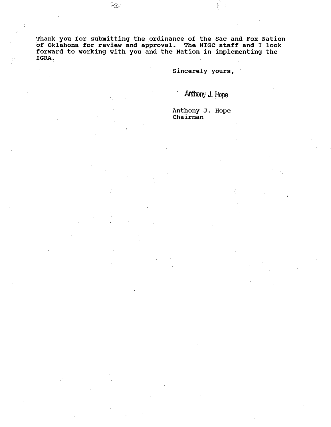Thank you for submitting the ordinance of the Sac and Fox Nation<br>of Oklahoma for review and approval. The NIGC staff and I look<br>forward to working with you and the Nation in implementing the IGRA.

ا چرچيا<br>ا

Sincerely yours,

Anthony J. Hope

Anthony J. Hope Chairman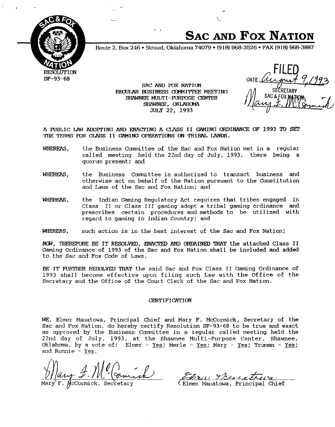

# **SAC AND Fox NATION**

**Route 2, Box 246 Stroud, Oklahoma 74079 (918) 968-3526 FAX (918) 968-3887**

**SAC AND FOX NATION RECULAR BUSINESS COMMITTEE MEETING SHAWNEE MULTI-PURPOSE CENTER** SHAWNEE, OKLAHOMA **JULY 22, 1993**

 $\mathbf{t} = 1$ 

**FILED** DATE Current 9, 1993<br>SECRETARY<br>Many 7, MC Cormun

**A PtJBLIC LAW ADOErING AND EI1ACPING A CLASS IT GAMING ORDINANCE OF 1993 ID SET ThE TERMS FOR CLASS II GAMING OPERATIONS ON TRIBAL LANDS.**

- **WHEREAS, the Business Cc~nnittee of the Sac and Fox Nation met in a regular called meeting held the 22nd day of July, 1993, there being a quorum present; and**
- **WHEREAS,** the Business Committee is authorized to transact business and **otherwise act on behalf of the Nation pursuant to the Constitution and laws of the Sac and Fox Nation; and**
- **WHEREAS, the Indian Gaming Regulatory Act requires that tribes engaged in Class IT or Class Ill gaming adopt a tribal gaming ordinance and prescribes certain procedures and methods to be utilized with regard to gaming in Indian Country; and**

**WHEREAS, such action is in the best interest of the Sac and Fox Nation;**

**NCW, ThEREFORE BE IT RESOLVED, E~AC1EI) AND ORDAINED ThAT the attached Class II Gaming Ordinance of 1993 of the Sac and Fox Nation shall be included and added to the Sac and Fox Code of Laws.**

**BE IT FURTHER RESOLVED ThAT the said Sac and Fox Class II Gaming Ordinance of 1993 shall become effective upon filing such Law with the Office of the Secretary and the Office of the Court Clerk of the Sac and Fox Nation.**

#### **CERTI FICATION**

**Principal Chief and Mary F. McCormick, Secretary of the WE, Elmer Manatowa, do hereby certify Resolution SF-93-68 to be true and exact Sac and Fox Nation, Business C~iinittee in a regular called meeting held the as approved by the 1993, at the Shawnee Multi-Purpose Center, Shawnee, 22nd day of ~July, of: E]mer - Yes; Merle - Yes; Mary - Yes; Truman - Okiaham, by a vote and Ronnie - Yes.** WITHER RESOLVED THAT the said<br>11 become effective upon 1<br>and the Office of the Court<br>cERT<br>CERT<br><br><br>**\***<br>Manatowa, Principal Chief<br>cos Nation, do hereby certify<br>red by the Business Committ<br>of July, 1993, at the S<br>by a vote of:

*t* Mary 7. 1

**Mary**

**-**

**Secretary (Elmer Manatowa, Principal Chief**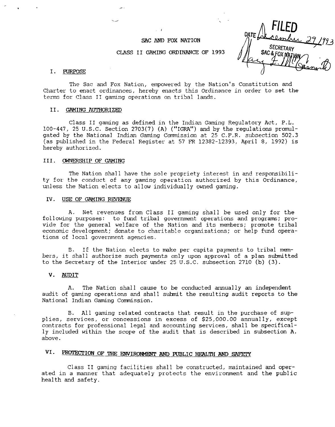### **SAC AND FOX NATION**

# **CLASS II GAMING ORDINANCE OF 1993**

**SECRETARY** SAC & FOX MAJU

#### **I. PURPOSE**

**The Sac arid Fox Nation, empowered by the Nations Constitution and Charter to enact ordinances, hereby enacts this Ordinance in order to set the terms for Class II gaming operations on tribal lands.**

#### **II.** GAMING AUTHORIZED

**Class II gaming as defined in the Indian Gaming Regulatory Act, P.L. 100-447, 25 U.S.C. Section 2703(7) (A) (IGRA) and by the regulations promul gated by the National Indian Gaming Conmission at 25 C.F.R. subsection 502.3 (as published in the Federal Register at 57 FR 12382-12393, April 8, 1992) is hereby authorized.**

#### **III. ~NERSHIP OF GAMING**

**The Nation shall have the sole propriety interest in and responsibili ty <sup>f</sup> or the conduct of any gaming operation authorized by this Ordinance, unless the Nation elects to allow individually owned gaming.**

#### **IV.** USE OF GAMING REVENUE

**A. Net revenues from Class II gaming shall be used only for the following purposes: to fund tribal government operations and programs; pro**  $v$ ide for the general welfare of the Nation and its members; promote tribal **economic development; donate to charitable organizations; or help fund opera tions of local government agencies.**

**B. IE the Nation elects to make per capita payment.s to tribal mem bers, it shall authorize such payments only upon approval of a plan suhnitted to the Secretary of the Interior under 25 U.S.C. subsection 2710 (b) (3).**

### **V. AUDIT**

**A. The Nation shall cause to be conducted annually an independent audit of gaming operations and shall suhnit the resulting audit reports to the National Indian Gaming Comnission.**

**B. All gaming related contracts that result in the purchase of sup plies, services, or concessions in excess of \$25,000.00 annually, except contracts for professional legal and accounting services, shall be specifical ly included within the scope of the audit that is described in subsection A. above.**

# VI. PROTECTION OF THE ENVIRONMENT AND PUBLIC HEALTH AND SAFETY

**Class II gaming facilities shall be constructed, maintained and oper ated in a manner that adequately protects the environment and the public health and safety.**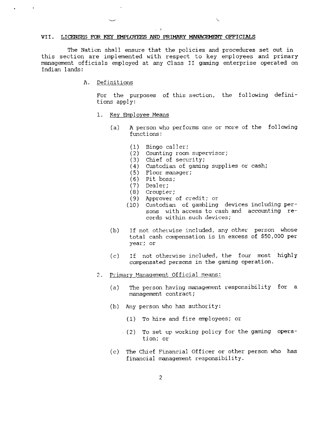# $VII.$  LICENSES FOR KEY EMPLOYEES AND PRIMARY MANAGEMENT OFFICIALS

 $\sim$   $\sim$   $\pm$ 

**The Nation shall ensure that the policies and procedures set out in this section are implemented with respect to key employees and primary management officials employed at any Class II gaming enterprise operated on Indian lands:**

# **A. Definitions**

**For the purposes of this section, the following defini tions apply:**

- 1. **Key Employee Means** 
	- **(a) A person who performs one or more of the following functions:**

 $\bar{\mathbf{r}}$ 

- **(1) Bingo caller;**
- **(2) Counting room supervisor;**
- **(3) Chief of security;**
- **(4) Custodian of gaming supplies or cash;**
- **(5) Floor manager;**
- **(6) Pit boss;**
- **(7) Dealer;**
- **(8) Croupier;**
- **(9) Approver of credit; or**
- **(10) Custodian of gambling devices including per sons with access to cash and accounting re cords within such devices;**
- **(b) If not otherwise included, any other person whose total cash compensation is in excess of ~5O,0O0 per year; or**
- **(c) If not otherwise included, the four most highly compensated persons in the gaming operation.**
- 2. Primary Management Official means:
	- **(a) The person having management responsibility for <sup>a</sup> management. contract;**
	- **(b) Any person who has authority:**
		- **(1) To hire and fire employees; or**
		- **(2) To set up working policy for the gaming opera tion; or**
	- **(c) The Chief Financial Officer or other person who has financial management responsibility.**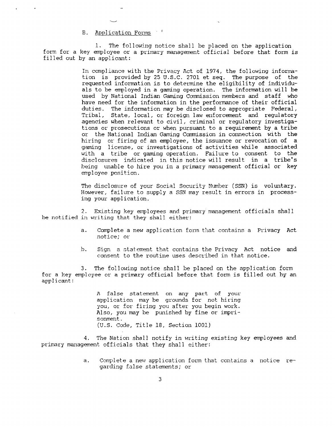**B. Application Forms**

**1. The following notice shall be placed on the application form for <sup>a</sup> key employee or a primary management official before that form is filled out by an applicant:**

> **In compliance with the Privacy Act of 1974, the following informa tion is provided by 25 U.s.c. 2701 et seq. The purpose of the requested information is to determine the eligibility of individu als to be employed in a gaming operation. The information will be used by National Indian Gaming CoTrmission members and staff who have need <sup>f</sup> or the information in the performance of their official duties. The information may be disclosed to appropriate Federal, Tribal, State, local, or foreign law enforcement and regulatory agencies when relevant to civil, criminal or regulatory investiga tions ~r prosecutions or when pursuant to a requirement by a tribe or the National Indian Gaming Conmission in connection with the hiring or firing of an employee, the issuance or revocation of a gaming license, or investigations of activities while associated with a tribe or gaming operation. Failure to consent to the** disclosures indicated in this notice will result in a tribe's **being unable to hire you in a primary management official or key employee position.**

> **The disclosi.~re of your Social Security Ni~ber (SSN) is voluntary. However, failure to supply a SSN may result in errors in process ing your application.**

**2. Existing key employees and primary management officials shall be notified in writing that they shall either:**

- **a. Complete a new application form that contains a Privacy Act notice; or**
- **h. Sign a statement that contains the Privacy Act notice and consent to the routine uses described, in that notice.**

**3. The following notice shall be placed on the application form for a key employee or a primary official before that form is filled out by an applicant:**

> **1\ false statement on any part of your application may he grounds for not hiring you, or for firing you after you begin work. Also, you may be punished by fine or impri sonment. (u.s. Code, Title 18, Section 1001)**

**4. The Nation shall notify in writing existing key employees arid primary management officials that t.hey shall either:**

> **a. Complete <sup>a</sup> new application form that contains <sup>a</sup> notice re garding false statements; or**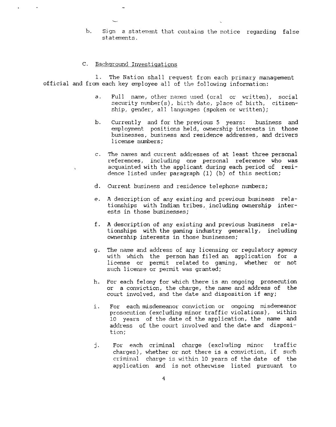**b. Sign a statement that contains the notice regarding false statements.**

# **C.** Background Investigations

**1. The Nation shall request from each primary management official and horn each key employee all of the following information:**

- **a. Full name, other names used (oral or written), social**  $security$   $number(s)$ ,  $birth$   $date$ ,  $place$  of  $birth$ ,  $citizen$ **ship, gender, all languages (spoken or written);**
- **b. Currently and for the previous <sup>5</sup> years: business and employment positions held, ownership interests in those businesses, business and residence addresses, arid drivers**  $license numbers$ ;
- **c. The names and current addresses of at least three personal references, including one personal reference who was acquainted with the applicant during each period of resi dence listed under paragraph (1) (b) of this section;**
- **d. Current business and residence telephone ni~nbers;**
- **e. A description of any existing and previous business rela tionships with Indian tribes, including ownership inter ests in those businesses;**
- **f. A description of any existing and previous business rela tionships with the gaming industry generally, including ownership interests in those businesses;**
- **g. The name and address of any licensing or regulatory agency wit.h which the person has filed an application for a license or permit related to gaming, whether or not such license or permit was granted;**
- **h. For each felony for which there is an ongoing prosecution or a conviction, the charge, the name and address of the court involved, and the date and disposition if any;**
- **i. For each misdemeanor conviction or ongoing misdemeanor prosecution (excluding minor traffic violations), within <sup>10</sup> years of the date of the application, the name and address of the court involved and the date and disposi t ion;**
- **j. For each criminal charge (excluding minor traffic charges), whether or not there is a conviction, if such criminal charge is within 10 years of the date of the application and is not otherwise listed pursuant to**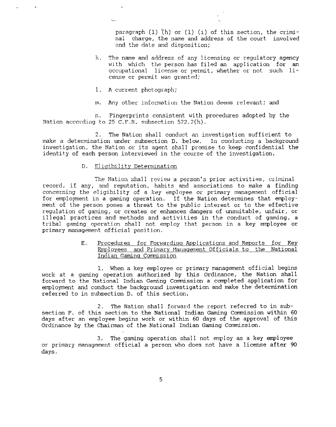$para graph (1)$   $(h)$  or  $(1)$   $(i)$  of this section, the crimi**nal charge, the name and address of the court involved and the daLe and disposition;**

- **k. The name and address of any licensing or regulatory agency wi.Lh which the person has filed an application for an occupational license or permit, whether or not such li cense or Permit was granted;**
- **1. A current photograph;**
- **m. Any other information the Nation deems relevant; and**

**n. Fingerprints consistent with procedures adopted by the Nation according to 25 C.F.R. subsection 522.2(h).**

**2. The Nation shall conduct. an investigation sufficient to make a determination under subsection D. below. In conducting a background investigation, the Nation or its agent shall promise to keep confidential the identity of each person interviewed in the course of the investigation.**

# **D. Eligibility Determination**

**The Nation shall review a persons prior activities, criminal record, if any, and reputation, habits and associations to make a finding concerning the eligibility of a key employee or primary management official for employment, in a gaming operation. If the Nation determines that employ ment of the person poses a threat to the public interest or to the effective regulation of gaming, or creates or enhances dangers of unsuitable, unfair, or illegal practices and methods and activities in the conduct of gaming, a tribal gaming operation shall not employ that person in a key employee or primary management official position.**

> **E. Procedures for Forwarding Applications and Reports for Key ~r4oyees and Primary\_Man~g~ment Officials to the National Indian Gaming Corrrnission**

**1. When a key employee or primary management official begins work at a gaming operation authorized by this Ordinance, the Nation shall forward to the National Indian Gaming ConTnission a completed application for employment and conduct the background investigation and make the determination referred to in subsection D. of this section.**

**2. The Nation shall forward the report referred to in sub section F. of this section to the National Indian Gaming Coiimission within 60 days after an employee begins work or within 60 days of the approval of this Ordinance by the Chairman of the National Indian Gaming Conmission.**

**3. The gaming operation shall not employ as <sup>a</sup> key ~loyee or primary management official a person who does not have a license after 90 days.**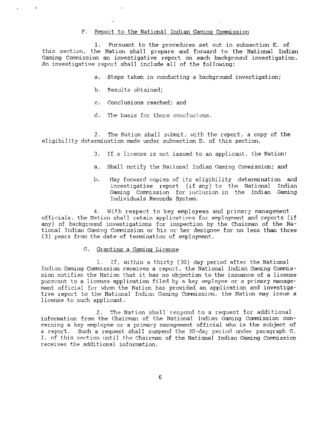# F. Report to the National Indian Gaming Commission

**1. Pursuant to the procedures set out in subsection E. of this section, the Nation shall prepare arid forward to the National Indian Gaming Corrrnission an investigative report on each background investigation. An investigative report shall include all of the following:**

- **a. Steps taken in conducting a background investigation;**
- **b. Results obtained;**

 $\ddotsc$ 

- **c. Conclusions reached; and**
- **d. The basis for those conclusions.**

**2. The Nation shall sul~nit, with the report, <sup>a</sup> copy of the eligibility determination made under subsection D. of this section.**

- **3. If a license is not issued to an applicant, the Nation:**
- **a. Shall notify the NaLional Indian Gaming Conniission; and**
- **b. May forward. copies of its eligibility determination and investigative report (if any) to the National Indian Gaming Corrmission for inclusion in the Indian Gaming Individuals** Records System.

**4. Wit.h respect to key employees and primary management officials. the Nation shall retain applications for employment and report.s (if any) of background investigations for inspection by the Chairman of the Na tional Indian Gaining Corimission ~r his or her designee for no less than three (3) years from the date of termination of employment.**

# **G. Granting a Gaming License**

**1. If, within a thirty (30) day period after the National**  $I_n$ report, **Caming Commission receives a** report, the National Indian Gaming Commis**sion notifies the Nation that it has no objection to the issuance of a license pursuant to a license application filed by a key employee or a primary manage ment official for whom the Nation has provided an application and investiga tive report to the National Indian Gaming C~rrnission, the Nation may issue a license to such applicant.**

**2. The Nation shall respond to <sup>a</sup> request for additional information from the Chairman of the National Indian Gaming Comrtission con cerning a key emoloyee or a primary management official who is the subject of a report. Such a request shall suspend the 30-day period under paragraph G. 1. of this ~~ction until the Chairman of the National Indian Gaming CoriTnission receives the additional information.**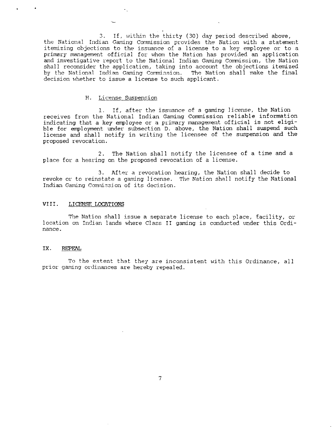**3. If, within the thirty (30) day period described above, the National Indian Gaming Comnission provides the Nation with a statement itemizing objections to the issuance of a license to a key employee or to a**  $p$ rimary management official for whom the Nation has  $p$ rovided an application **and investigative report to the National Indian Gaming Comnission, the Nation shall reconsider the application, taking into account. the objections itemized by the National Indian Gaming Corimission. The Nation shall make the final decision whether to issue a license to such applicant.**

#### **H. License Suspension**

**1. If, after the issuance of a gaming license, the Nation receives from the National Indian Gaming Corrrnission reliable information indicating that <sup>a</sup> key employee or <sup>a</sup> primary management official is not eligi ble for employment under subsection D. above, the Nation shall suspend such license and shall notify in writing the licensee of the suspension and the proposed revocation.**

**2. The Nation shall notify the licensee of a time and a place <sup>f</sup> or a hearing on the proposed revocation of a license.**

**3. After a revocation hearing, the Nation shall decide to revoke or to reinstate a gaming license. The Nation shall notify the National Indian Gaming Comnission of its decision.**

#### $VIII.$  LICENSE LOCATIONS

**The Nation shall issue a separate license to each place, facility, or location on Indian lands where Class II gaming is conducted under this Ordi nance.**

# **IX.** REPEAL

**To the extent that. they are inconsistent with this Ordinance, all prior gaming ordinances are hereby repealed.**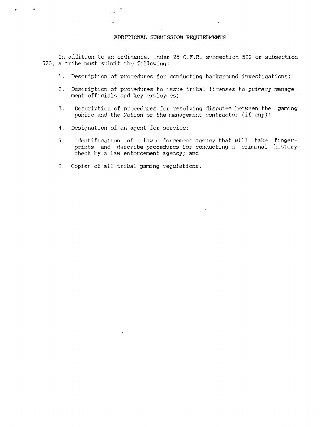#### **ADDITIONAL SUBMISSION REQUIREMENTS**

 $\tau=1$ 

In addition to an ordinance, under 25 C.F.R. subsection 522 or subsection **523, a tribe must sutmit the following:**

- **1. Description of procedures for conducting background investigations;**
- **2. Description of pL-ocedures to issue tribal licenses to primary manage ment officials and key employees;**
- **3. Description of procedures for resolving disputes between the gaming PUJ)11C and. the rIation or the management contractor (if any);**
- **4. Designation of an agent for service;**
- **5. Identification of <sup>a</sup> law enforcement agency that will take finger prints and describe procedures for conducting a criminal history check by a law enforcement agency; and**
- **6. Copies of all tribal gaming regulations.**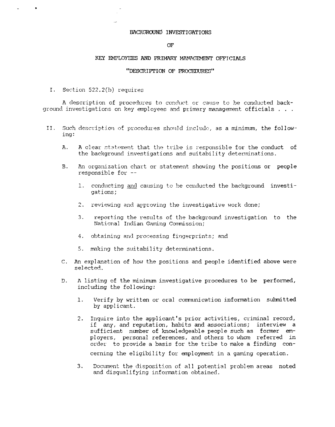#### **BACKGROUND INVESTIGATIONS**

### **OF**

#### **I~EY B~.1PLOYEES ANT) PRIMARY MANT\GT~1ENT OFFICIALS**

# **DESCRIPTION OF PROCEDURES**

**I. Section 522.2(b) requires**

 $\bullet$ 

**A description of procedures to conduct or cause to he conducted back ground investigations on key employees and primary management officials**

- **II.** Such description of procedures should include, as a minimum, the follow**ing:**
	- **A. A clear st.~tement that the tribe is responsible for the conduct of the background investigations and suitability determinations.**
	- **B. An organization chart or statement showing the positions or people responsible for --**
		- **1. conducting and causing to be conducted the background investi gations;**
		- **2. reviewing and approving the investigative work done;**
		- **3. reporting the results of the background investigation to the**  $National Indian Gamma$  **Connission**;
		- **4. obtaining and processing fingerprints; and**
		- **5. making the suitability determinations.**
	- **C. An explanation of how the positions and people identified above were selected.**
	- **D. A listing of the minimum investigative procedures to be performed, including the following:**
		- **1. Verify by written or oral cormiunication information suhnitted by applicant.**
		- **2. Inquire into the applicants prior activities, criminal record, if any, and reputation, habits and associations; interview a sufficient ni~nber of knowledgeable people such as former em ployers, personal references, and others to whom referred in order to provide <sup>a</sup> basis for the tribe to make <sup>a</sup> finding con cerning the eligibility for employment in a gaming operation.**
		- **3. Document the disposition of all potential problem areas noted and disqualifying information obtained.**